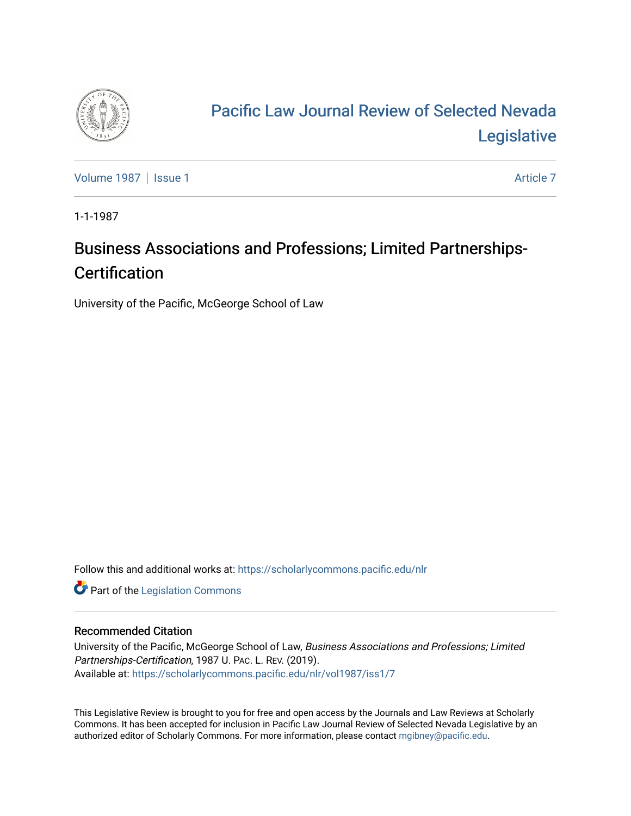

## [Pacific Law Journal Review of Selected Nevada](https://scholarlycommons.pacific.edu/nlr)  [Legislative](https://scholarlycommons.pacific.edu/nlr)

[Volume 1987](https://scholarlycommons.pacific.edu/nlr/vol1987) | [Issue 1](https://scholarlycommons.pacific.edu/nlr/vol1987/iss1) Article 7

1-1-1987

## Business Associations and Professions; Limited Partnerships-**Certification**

University of the Pacific, McGeorge School of Law

Follow this and additional works at: [https://scholarlycommons.pacific.edu/nlr](https://scholarlycommons.pacific.edu/nlr?utm_source=scholarlycommons.pacific.edu%2Fnlr%2Fvol1987%2Fiss1%2F7&utm_medium=PDF&utm_campaign=PDFCoverPages) 

**Part of the [Legislation Commons](http://network.bepress.com/hgg/discipline/859?utm_source=scholarlycommons.pacific.edu%2Fnlr%2Fvol1987%2Fiss1%2F7&utm_medium=PDF&utm_campaign=PDFCoverPages)** 

## Recommended Citation

University of the Pacific, McGeorge School of Law, Business Associations and Professions; Limited Partnerships-Certification, 1987 U. PAC. L. REV. (2019). Available at: [https://scholarlycommons.pacific.edu/nlr/vol1987/iss1/7](https://scholarlycommons.pacific.edu/nlr/vol1987/iss1/7?utm_source=scholarlycommons.pacific.edu%2Fnlr%2Fvol1987%2Fiss1%2F7&utm_medium=PDF&utm_campaign=PDFCoverPages) 

This Legislative Review is brought to you for free and open access by the Journals and Law Reviews at Scholarly Commons. It has been accepted for inclusion in Pacific Law Journal Review of Selected Nevada Legislative by an authorized editor of Scholarly Commons. For more information, please contact [mgibney@pacific.edu](mailto:mgibney@pacific.edu).